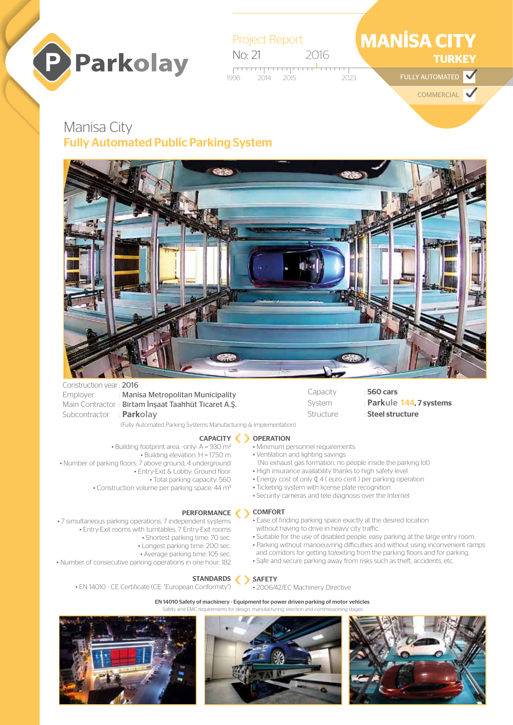



## Manisa City Fully Automated Public Parking System



Construction year: 2016 Subcontractor : **Parkolay**

Employer : Manisa Metropolitan Municipality Main Contractor : Birtam İnşaat Taahhüt Ticaret A.Ş.

(Fully Automated Parking Systems Manufacturing & Implementation)

#### CAPACITY ( ) OPERATION • Building footprint area: -only- A = 930 m2

- Minimum personnel requirements
	- Ventilation and lighting savings
	- (No exhaust gas formation, no people inside the parking lot) • High insurance availability thanks to high safety level

Capacity : 560 cars

Structure : Steel structure

• Suitable for the use of disabled people, easy parking at the large entry room. • Parking without manoeuvring difficulties and without using inconvenient ramps and corridors for getting to/exiting from the parking floors and for parking. • Safe and secure parking away from risks such as theft, accidents, etc.

System : **Parkule 144, 7 systems** 

- 
- Energy cost of only ¢ 4 ( euro cent ) per parking operation
- Ticketing system with license plate recognition

without having to drive in heavy city traffic.

• Security cameras and tele diagnosis over the Internet

#### PERFORMANCE SCOMFORT • Ease of finding parking space exactly at the desired location

• 7 simultaneous parking operations, 7 independent systems • Entry-Exit rooms with turntables, 7 Entry-Exit rooms

• Number of parking floors: 7 above ground, 4 underground

• Construction volume per parking space: 44 m3

• Shortest parking time: 70 sec. • Longest parking time: 200 sec.

• Building elevation: H = 17.50 m

• Entry-Exit & Lobby: Ground floor • Total parking capacity: 560

• Average parking time: 105 sec.

• Number of consecutive parking operations in one hour: 182

#### STANDARDS

• EN 14010 - CE Certificate (CE: "European Conformity")

# • 2006/42/EC Machinery Directive

EN 14010 Safety of machinery - Equipment for power driven parking of motor vehicles v and EMC requirements for design, manufacturing, erection and commi

SAFETY